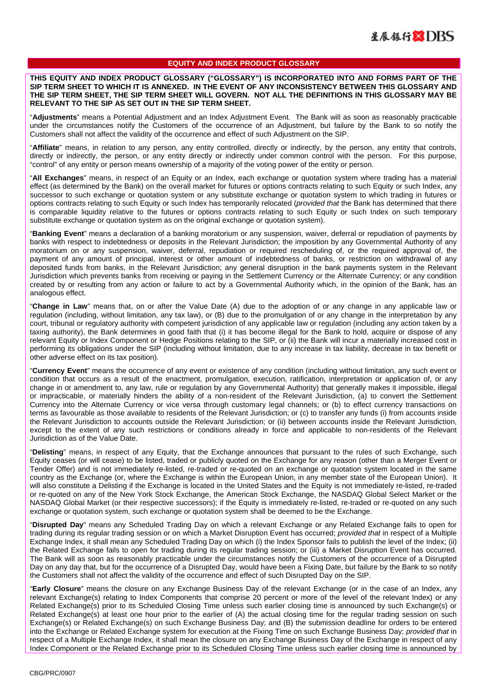## **EQUITY AND INDEX PRODUCT GLOSSARY**

**THIS EQUITY AND INDEX PRODUCT GLOSSARY ("GLOSSARY") IS INCORPORATED INTO AND FORMS PART OF THE SIP TERM SHEET TO WHICH IT IS ANNEXED. IN THE EVENT OF ANY INCONSISTENCY BETWEEN THIS GLOSSARY AND THE SIP TERM SHEET, THE SIP TERM SHEET WILL GOVERN. NOT ALL THE DEFINITIONS IN THIS GLOSSARY MAY BE RELEVANT TO THE SIP AS SET OUT IN THE SIP TERM SHEET.** 

"**Adjustments**" means a Potential Adjustment and an Index Adjustment Event. The Bank will as soon as reasonably practicable under the circumstances notify the Customers of the occurrence of an Adjustment, but failure by the Bank to so notify the Customers shall not affect the validity of the occurrence and effect of such Adjustment on the SIP.

"**Affiliate**" means, in relation to any person, any entity controlled, directly or indirectly, by the person, any entity that controls, directly or indirectly, the person, or any entity directly or indirectly under common control with the person. For this purpose, "control" of any entity or person means ownership of a majority of the voting power of the entity or person.

"**All Exchanges**" means, in respect of an Equity or an Index, each exchange or quotation system where trading has a material effect (as determined by the Bank) on the overall market for futures or options contracts relating to such Equity or such Index, any successor to such exchange or quotation system or any substitute exchange or quotation system to which trading in futures or options contracts relating to such Equity or such Index has temporarily relocated (*provided that* the Bank has determined that there is comparable liquidity relative to the futures or options contracts relating to such Equity or such Index on such temporary substitute exchange or quotation system as on the original exchange or quotation system).

"**Banking Event**" means a declaration of a banking moratorium or any suspension, waiver, deferral or repudiation of payments by banks with respect to indebtedness or deposits in the Relevant Jurisdiction; the imposition by any Governmental Authority of any moratorium on or any suspension, waiver, deferral, repudiation or required rescheduling of, or the required approval of, the payment of any amount of principal, interest or other amount of indebtedness of banks, or restriction on withdrawal of any deposited funds from banks, in the Relevant Jurisdiction; any general disruption in the bank payments system in the Relevant Jurisdiction which prevents banks from receiving or paying in the Settlement Currency or the Alternate Currency; or any condition created by or resulting from any action or failure to act by a Governmental Authority which, in the opinion of the Bank, has an analogous effect.

"**Change in Law**" means that, on or after the Value Date (A) due to the adoption of or any change in any applicable law or regulation (including, without limitation, any tax law), or (B) due to the promulgation of or any change in the interpretation by any court, tribunal or regulatory authority with competent jurisdiction of any applicable law or regulation (including any action taken by a taxing authority), the Bank determines in good faith that (i) it has become illegal for the Bank to hold, acquire or dispose of any relevant Equity or Index Component or Hedge Positions relating to the SIP, or (ii) the Bank will incur a materially increased cost in performing its obligations under the SIP (including without limitation, due to any increase in tax liability, decrease in tax benefit or other adverse effect on its tax position).

"**Currency Event**" means the occurrence of any event or existence of any condition (including without limitation, any such event or condition that occurs as a result of the enactment, promulgation, execution, ratification, interpretation or application of, or any change in or amendment to, any law, rule or regulation by any Governmental Authority) that generally makes it impossible, illegal or impracticable, or materially hinders the ability of a non-resident of the Relevant Jurisdiction, (a) to convert the Settlement Currency into the Alternate Currency or vice versa through customary legal channels; or (b) to effect currency transactions on terms as favourable as those available to residents of the Relevant Jurisdiction; or (c) to transfer any funds (i) from accounts inside the Relevant Jurisdiction to accounts outside the Relevant Jurisdiction; or (ii) between accounts inside the Relevant Jurisdiction, except to the extent of any such restrictions or conditions already in force and applicable to non-residents of the Relevant Jurisdiction as of the Value Date.

"**Delisting**" means, in respect of any Equity, that the Exchange announces that pursuant to the rules of such Exchange, such Equity ceases (or will cease) to be listed, traded or publicly quoted on the Exchange for any reason (other than a Merger Event or Tender Offer) and is not immediately re-listed, re-traded or re-quoted on an exchange or quotation system located in the same country as the Exchange (or, where the Exchange is within the European Union, in any member state of the European Union). It will also constitute a Delisting if the Exchange is located in the United States and the Equity is not immediately re-listed, re-traded or re-quoted on any of the New York Stock Exchange, the American Stock Exchange, the NASDAQ Global Select Market or the NASDAQ Global Market (or their respective successors); if the Equity is immediately re-listed, re-traded or re-quoted on any such exchange or quotation system, such exchange or quotation system shall be deemed to be the Exchange.

"**Disrupted Day**" means any Scheduled Trading Day on which a relevant Exchange or any Related Exchange fails to open for trading during its regular trading session or on which a Market Disruption Event has occurred; *provided that* in respect of a Multiple Exchange Index, it shall mean any Scheduled Trading Day on which (i) the Index Sponsor fails to publish the level of the Index; (ii) the Related Exchange fails to open for trading during its regular trading session; or (iii) a Market Disruption Event has occurred. The Bank will as soon as reasonably practicable under the circumstances notify the Customers of the occurrence of a Disrupted Day on any day that, but for the occurrence of a Disrupted Day, would have been a Fixing Date, but failure by the Bank to so notify the Customers shall not affect the validity of the occurrence and effect of such Disrupted Day on the SIP.

"**Early Closure**" means the closure on any Exchange Business Day of the relevant Exchange (or in the case of an Index, any relevant Exchange(s) relating to Index Components that comprise 20 percent or more of the level of the relevant Index) or any Related Exchange(s) prior to its Scheduled Closing Time unless such earlier closing time is announced by such Exchange(s) or Related Exchange(s) at least one hour prior to the earlier of (A) the actual closing time for the regular trading session on such Exchange(s) or Related Exchange(s) on such Exchange Business Day; and (B) the submission deadline for orders to be entered into the Exchange or Related Exchange system for execution at the Fixing Time on such Exchange Business Day; *provided that* in respect of a Multiple Exchange Index, it shall mean the closure on any Exchange Business Day of the Exchange in respect of any Index Component or the Related Exchange prior to its Scheduled Closing Time unless such earlier closing time is announced by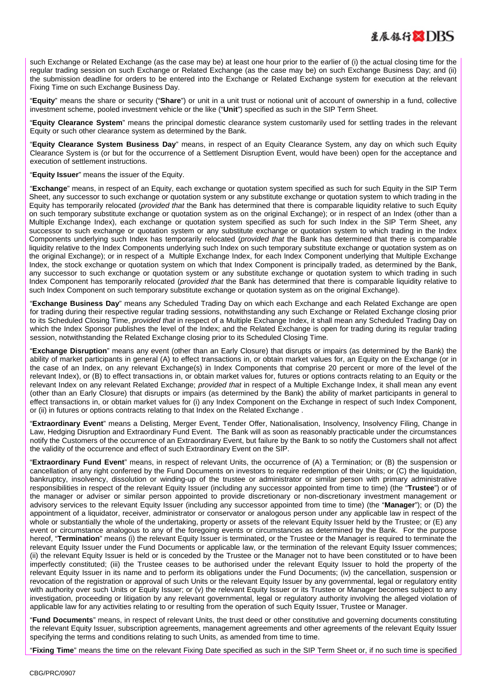

such Exchange or Related Exchange (as the case may be) at least one hour prior to the earlier of (i) the actual closing time for the regular trading session on such Exchange or Related Exchange (as the case may be) on such Exchange Business Day; and (ii) the submission deadline for orders to be entered into the Exchange or Related Exchange system for execution at the relevant Fixing Time on such Exchange Business Day.

"**Equity**" means the share or security ("**Share**") or unit in a unit trust or notional unit of account of ownership in a fund, collective investment scheme, pooled investment vehicle or the like ("**Unit**") specified as such in the SIP Term Sheet.

"**Equity Clearance System**" means the principal domestic clearance system customarily used for settling trades in the relevant Equity or such other clearance system as determined by the Bank.

"**Equity Clearance System Business Day**" means, in respect of an Equity Clearance System, any day on which such Equity Clearance System is (or but for the occurrence of a Settlement Disruption Event, would have been) open for the acceptance and execution of settlement instructions.

"**Equity Issuer**" means the issuer of the Equity.

"**Exchange**" means, in respect of an Equity, each exchange or quotation system specified as such for such Equity in the SIP Term Sheet, any successor to such exchange or quotation system or any substitute exchange or quotation system to which trading in the Equity has temporarily relocated (*provided that* the Bank has determined that there is comparable liquidity relative to such Equity on such temporary substitute exchange or quotation system as on the original Exchange); or in respect of an Index (other than a Multiple Exchange Index), each exchange or quotation system specified as such for such Index in the SIP Term Sheet, any successor to such exchange or quotation system or any substitute exchange or quotation system to which trading in the Index Components underlying such Index has temporarily relocated (*provided that* the Bank has determined that there is comparable liquidity relative to the Index Components underlying such Index on such temporary substitute exchange or quotation system as on the original Exchange); or in respect of a Multiple Exchange Index, for each Index Component underlying that Multiple Exchange Index, the stock exchange or quotation system on which that Index Component is principally traded, as determined by the Bank, any successor to such exchange or quotation system or any substitute exchange or quotation system to which trading in such Index Component has temporarily relocated (*provided that* the Bank has determined that there is comparable liquidity relative to such Index Component on such temporary substitute exchange or quotation system as on the original Exchange).

"**Exchange Business Day**" means any Scheduled Trading Day on which each Exchange and each Related Exchange are open for trading during their respective regular trading sessions, notwithstanding any such Exchange or Related Exchange closing prior to its Scheduled Closing Time, *provided that* in respect of a Multiple Exchange Index, it shall mean any Scheduled Trading Day on which the Index Sponsor publishes the level of the Index; and the Related Exchange is open for trading during its regular trading session, notwithstanding the Related Exchange closing prior to its Scheduled Closing Time.

"**Exchange Disruption**" means any event (other than an Early Closure) that disrupts or impairs (as determined by the Bank) the ability of market participants in general (A) to effect transactions in, or obtain market values for, an Equity on the Exchange (or in the case of an Index, on any relevant Exchange(s) in Index Components that comprise 20 percent or more of the level of the relevant Index), or (B) to effect transactions in, or obtain market values for, futures or options contracts relating to an Equity or the relevant Index on any relevant Related Exchange; *provided that* in respect of a Multiple Exchange Index, it shall mean any event (other than an Early Closure) that disrupts or impairs (as determined by the Bank) the ability of market participants in general to effect transactions in, or obtain market values for (i) any Index Component on the Exchange in respect of such Index Component, or (ii) in futures or options contracts relating to that Index on the Related Exchange .

"**Extraordinary Event**" means a Delisting, Merger Event, Tender Offer, Nationalisation, Insolvency, Insolvency Filing, Change in Law, Hedging Disruption and Extraordinary Fund Event. The Bank will as soon as reasonably practicable under the circumstances notify the Customers of the occurrence of an Extraordinary Event, but failure by the Bank to so notify the Customers shall not affect the validity of the occurrence and effect of such Extraordinary Event on the SIP.

"**Extraordinary Fund Event**" means, in respect of relevant Units, the occurrence of (A) a Termination; or (B) the suspension or cancellation of any right conferred by the Fund Documents on investors to require redemption of their Units; or (C) the liquidation, bankruptcy, insolvency, dissolution or winding-up of the trustee or administrator or similar person with primary administrative responsibilities in respect of the relevant Equity Issuer (including any successor appointed from time to time) (the "**Trustee**") or of the manager or adviser or similar person appointed to provide discretionary or non-discretionary investment management or advisory services to the relevant Equity Issuer (including any successor appointed from time to time) (the "**Manager**"); or (D) the appointment of a liquidator, receiver, administrator or conservator or analogous person under any applicable law in respect of the whole or substantially the whole of the undertaking, property or assets of the relevant Equity Issuer held by the Trustee; or (E) any event or circumstance analogous to any of the foregoing events or circumstances as determined by the Bank. For the purpose hereof, "**Termination**" means (i) the relevant Equity Issuer is terminated, or the Trustee or the Manager is required to terminate the relevant Equity Issuer under the Fund Documents or applicable law, or the termination of the relevant Equity Issuer commences; (ii) the relevant Equity Issuer is held or is conceded by the Trustee or the Manager not to have been constituted or to have been imperfectly constituted; (iii) the Trustee ceases to be authorised under the relevant Equity Issuer to hold the property of the relevant Equity Issuer in its name and to perform its obligations under the Fund Documents; (iv) the cancellation, suspension or revocation of the registration or approval of such Units or the relevant Equity Issuer by any governmental, legal or regulatory entity with authority over such Units or Equity Issuer; or (v) the relevant Equity Issuer or its Trustee or Manager becomes subject to any investigation, proceeding or litigation by any relevant governmental, legal or regulatory authority involving the alleged violation of applicable law for any activities relating to or resulting from the operation of such Equity Issuer, Trustee or Manager.

"**Fund Documents**" means, in respect of relevant Units, the trust deed or other constitutive and governing documents constituting the relevant Equity Issuer, subscription agreements, management agreements and other agreements of the relevant Equity Issuer specifying the terms and conditions relating to such Units, as amended from time to time.

"**Fixing Time**" means the time on the relevant Fixing Date specified as such in the SIP Term Sheet or, if no such time is specified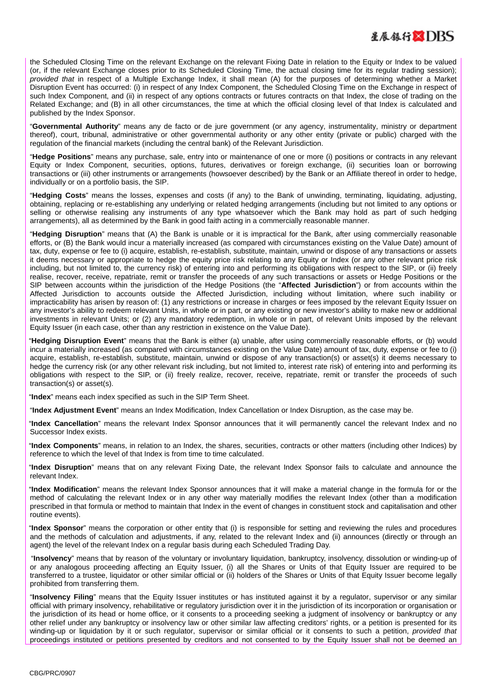the Scheduled Closing Time on the relevant Exchange on the relevant Fixing Date in relation to the Equity or Index to be valued (or, if the relevant Exchange closes prior to its Scheduled Closing Time, the actual closing time for its regular trading session); *provided that* in respect of a Multiple Exchange Index, it shall mean (A) for the purposes of determining whether a Market Disruption Event has occurred: (i) in respect of any Index Component, the Scheduled Closing Time on the Exchange in respect of such Index Component, and (ii) in respect of any options contracts or futures contracts on that Index, the close of trading on the Related Exchange; and (B) in all other circumstances, the time at which the official closing level of that Index is calculated and published by the Index Sponsor.

"**Governmental Authority**" means any de facto or de jure government (or any agency, instrumentality, ministry or department thereof), court, tribunal, administrative or other governmental authority or any other entity (private or public) charged with the regulation of the financial markets (including the central bank) of the Relevant Jurisdiction.

"**Hedge Positions**" means any purchase, sale, entry into or maintenance of one or more (i) positions or contracts in any relevant Equity or Index Component, securities, options, futures, derivatives or foreign exchange, (ii) securities loan or borrowing transactions or (iii) other instruments or arrangements (howsoever described) by the Bank or an Affiliate thereof in order to hedge, individually or on a portfolio basis, the SIP.

"**Hedging Costs**" means the losses, expenses and costs (if any) to the Bank of unwinding, terminating, liquidating, adjusting, obtaining, replacing or re-establishing any underlying or related hedging arrangements (including but not limited to any options or selling or otherwise realising any instruments of any type whatsoever which the Bank may hold as part of such hedging arrangements), all as determined by the Bank in good faith acting in a commercially reasonable manner.

"**Hedging Disruption**" means that (A) the Bank is unable or it is impractical for the Bank, after using commercially reasonable efforts, or (B) the Bank would incur a materially increased (as compared with circumstances existing on the Value Date) amount of tax, duty, expense or fee to (i) acquire, establish, re-establish, substitute, maintain, unwind or dispose of any transactions or assets it deems necessary or appropriate to hedge the equity price risk relating to any Equity or Index (or any other relevant price risk including, but not limited to, the currency risk) of entering into and performing its obligations with respect to the SIP, or (ii) freely realise, recover, receive, repatriate, remit or transfer the proceeds of any such transactions or assets or Hedge Positions or the SIP between accounts within the jurisdiction of the Hedge Positions (the "**Affected Jurisdiction**") or from accounts within the Affected Jurisdiction to accounts outside the Affected Jurisdiction, including without limitation, where such inability or impracticability has arisen by reason of: (1) any restrictions or increase in charges or fees imposed by the relevant Equity Issuer on any investor's ability to redeem relevant Units, in whole or in part, or any existing or new investor's ability to make new or additional investments in relevant Units; or (2) any mandatory redemption, in whole or in part, of relevant Units imposed by the relevant Equity Issuer (in each case, other than any restriction in existence on the Value Date).

"**Hedging Disruption Event**" means that the Bank is either (a) unable, after using commercially reasonable efforts, or (b) would incur a materially increased (as compared with circumstances existing on the Value Date) amount of tax, duty, expense or fee to (i) acquire, establish, re-establish, substitute, maintain, unwind or dispose of any transaction(s) or asset(s) it deems necessary to hedge the currency risk (or any other relevant risk including, but not limited to, interest rate risk) of entering into and performing its obligations with respect to the SIP, or (ii) freely realize, recover, receive, repatriate, remit or transfer the proceeds of such transaction(s) or asset(s).

"**Index**" means each index specified as such in the SIP Term Sheet.

"**Index Adjustment Event**" means an Index Modification, Index Cancellation or Index Disruption, as the case may be.

"**Index Cancellation**" means the relevant Index Sponsor announces that it will permanently cancel the relevant Index and no Successor Index exists.

"**Index Components**" means, in relation to an Index, the shares, securities, contracts or other matters (including other Indices) by reference to which the level of that Index is from time to time calculated.

"**Index Disruption**" means that on any relevant Fixing Date, the relevant Index Sponsor fails to calculate and announce the relevant Index.

"**Index Modification**" means the relevant Index Sponsor announces that it will make a material change in the formula for or the method of calculating the relevant Index or in any other way materially modifies the relevant Index (other than a modification prescribed in that formula or method to maintain that Index in the event of changes in constituent stock and capitalisation and other routine events).

"**Index Sponsor**" means the corporation or other entity that (i) is responsible for setting and reviewing the rules and procedures and the methods of calculation and adjustments, if any, related to the relevant Index and (ii) announces (directly or through an agent) the level of the relevant Index on a regular basis during each Scheduled Trading Day.

 "**Insolvency**" means that by reason of the voluntary or involuntary liquidation, bankruptcy, insolvency, dissolution or winding-up of or any analogous proceeding affecting an Equity Issuer, (i) all the Shares or Units of that Equity Issuer are required to be transferred to a trustee, liquidator or other similar official or (ii) holders of the Shares or Units of that Equity Issuer become legally prohibited from transferring them.

"**Insolvency Filing**" means that the Equity Issuer institutes or has instituted against it by a regulator, supervisor or any similar official with primary insolvency, rehabilitative or regulatory jurisdiction over it in the jurisdiction of its incorporation or organisation or the jurisdiction of its head or home office, or it consents to a proceeding seeking a judgment of insolvency or bankruptcy or any other relief under any bankruptcy or insolvency law or other similar law affecting creditors' rights, or a petition is presented for its winding-up or liquidation by it or such regulator, supervisor or similar official or it consents to such a petition, *provided that* proceedings instituted or petitions presented by creditors and not consented to by the Equity Issuer shall not be deemed an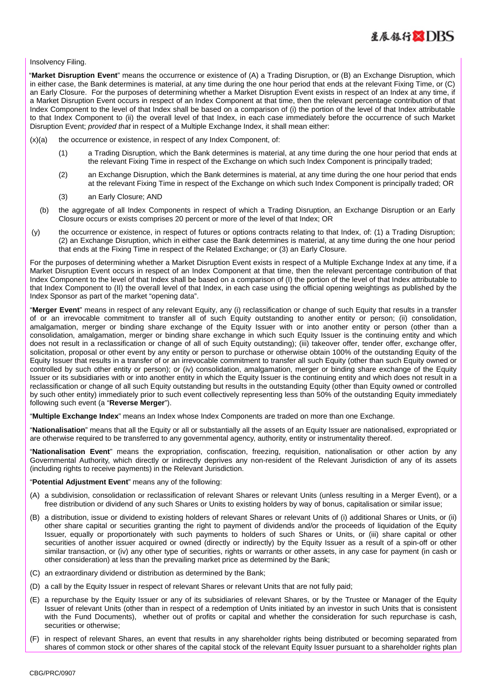

## Insolvency Filing.

"**Market Disruption Event**" means the occurrence or existence of (A) a Trading Disruption, or (B) an Exchange Disruption, which in either case, the Bank determines is material, at any time during the one hour period that ends at the relevant Fixing Time, or (C) an Early Closure. For the purposes of determining whether a Market Disruption Event exists in respect of an Index at any time, if a Market Disruption Event occurs in respect of an Index Component at that time, then the relevant percentage contribution of that Index Component to the level of that Index shall be based on a comparison of (i) the portion of the level of that Index attributable to that Index Component to (ii) the overall level of that Index, in each case immediately before the occurrence of such Market Disruption Event; *provided that* in respect of a Multiple Exchange Index, it shall mean either:

- $(x)(a)$  the occurrence or existence, in respect of any Index Component, of:
	- (1) a Trading Disruption, which the Bank determines is material, at any time during the one hour period that ends at the relevant Fixing Time in respect of the Exchange on which such Index Component is principally traded;
	- (2) an Exchange Disruption, which the Bank determines is material, at any time during the one hour period that ends at the relevant Fixing Time in respect of the Exchange on which such Index Component is principally traded; OR
	- (3) an Early Closure; AND
	- (b) the aggregate of all Index Components in respect of which a Trading Disruption, an Exchange Disruption or an Early Closure occurs or exists comprises 20 percent or more of the level of that Index; OR
- (y) the occurrence or existence, in respect of futures or options contracts relating to that Index, of: (1) a Trading Disruption; (2) an Exchange Disruption, which in either case the Bank determines is material, at any time during the one hour period that ends at the Fixing Time in respect of the Related Exchange; or (3) an Early Closure.

For the purposes of determining whether a Market Disruption Event exists in respect of a Multiple Exchange Index at any time, if a Market Disruption Event occurs in respect of an Index Component at that time, then the relevant percentage contribution of that Index Component to the level of that Index shall be based on a comparison of (I) the portion of the level of that Index attributable to that Index Component to (II) the overall level of that Index, in each case using the official opening weightings as published by the Index Sponsor as part of the market "opening data".

"**Merger Event**" means in respect of any relevant Equity, any (i) reclassification or change of such Equity that results in a transfer of or an irrevocable commitment to transfer all of such Equity outstanding to another entity or person; (ii) consolidation, amalgamation, merger or binding share exchange of the Equity Issuer with or into another entity or person (other than a consolidation, amalgamation, merger or binding share exchange in which such Equity Issuer is the continuing entity and which does not result in a reclassification or change of all of such Equity outstanding); (iii) takeover offer, tender offer, exchange offer, solicitation, proposal or other event by any entity or person to purchase or otherwise obtain 100% of the outstanding Equity of the Equity Issuer that results in a transfer of or an irrevocable commitment to transfer all such Equity (other than such Equity owned or controlled by such other entity or person); or (iv) consolidation, amalgamation, merger or binding share exchange of the Equity Issuer or its subsidiaries with or into another entity in which the Equity Issuer is the continuing entity and which does not result in a reclassification or change of all such Equity outstanding but results in the outstanding Equity (other than Equity owned or controlled by such other entity) immediately prior to such event collectively representing less than 50% of the outstanding Equity immediately following such event (a "**Reverse Merger**").

"**Multiple Exchange Index**" means an Index whose Index Components are traded on more than one Exchange.

"**Nationalisation**" means that all the Equity or all or substantially all the assets of an Equity Issuer are nationalised, expropriated or are otherwise required to be transferred to any governmental agency, authority, entity or instrumentality thereof.

"**Nationalisation Event**" means the expropriation, confiscation, freezing, requisition, nationalisation or other action by any Governmental Authority, which directly or indirectly deprives any non-resident of the Relevant Jurisdiction of any of its assets (including rights to receive payments) in the Relevant Jurisdiction.

## "**Potential Adjustment Event**" means any of the following:

- (A) a subdivision, consolidation or reclassification of relevant Shares or relevant Units (unless resulting in a Merger Event), or a free distribution or dividend of any such Shares or Units to existing holders by way of bonus, capitalisation or similar issue;
- (B) a distribution, issue or dividend to existing holders of relevant Shares or relevant Units of (i) additional Shares or Units, or (ii) other share capital or securities granting the right to payment of dividends and/or the proceeds of liquidation of the Equity Issuer, equally or proportionately with such payments to holders of such Shares or Units, or (iii) share capital or other securities of another issuer acquired or owned (directly or indirectly) by the Equity Issuer as a result of a spin-off or other similar transaction, or (iv) any other type of securities, rights or warrants or other assets, in any case for payment (in cash or other consideration) at less than the prevailing market price as determined by the Bank;
- (C) an extraordinary dividend or distribution as determined by the Bank;
- (D) a call by the Equity Issuer in respect of relevant Shares or relevant Units that are not fully paid;
- (E) a repurchase by the Equity Issuer or any of its subsidiaries of relevant Shares, or by the Trustee or Manager of the Equity Issuer of relevant Units (other than in respect of a redemption of Units initiated by an investor in such Units that is consistent with the Fund Documents), whether out of profits or capital and whether the consideration for such repurchase is cash, securities or otherwise;
- (F) in respect of relevant Shares, an event that results in any shareholder rights being distributed or becoming separated from shares of common stock or other shares of the capital stock of the relevant Equity Issuer pursuant to a shareholder rights plan